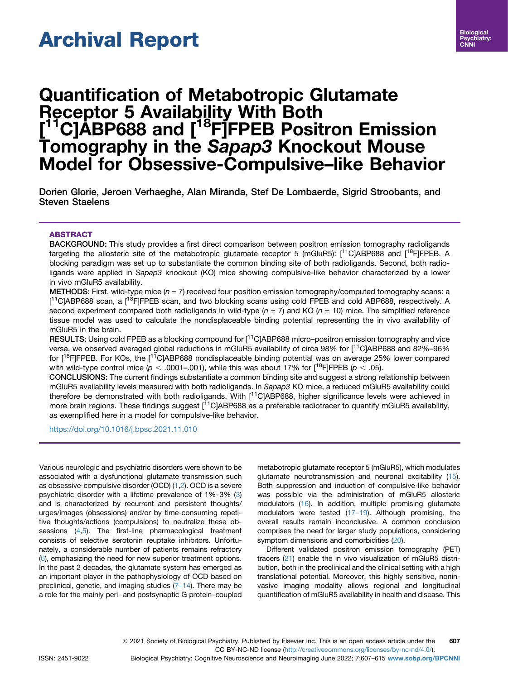# Archival Report

# Quantification of Metabotropic Glutamate Receptor 5 Availability With Both [<sup>11</sup>C]ABP688 and [<sup>18</sup>F]FPEB Positron Emission Tomography in the Sapap3 Knockout Mouse Model for Obsessive-Compulsive–like Behavior

Dorien Glorie, Jeroen Verhaeghe, Alan Miranda, Stef De Lombaerde, Sigrid Stroobants, and Steven Staelens

# ABSTRACT

BACKGROUND: This study provides a first direct comparison between positron emission tomography radioligands targeting the allosteric site of the metabotropic glutamate receptor 5 (mGluR5):  $[1^1C]$ ABP688 and  $[1^8F]$ FPEB. A blocking paradigm was set up to substantiate the common binding site of both radioligands. Second, both radioligands were applied in Sapap3 knockout (KO) mice showing compulsive-like behavior characterized by a lower in vivo mGluR5 availability.

METHODS: First, wild-type mice  $(n = 7)$  received four position emission tomography/computed tomography scans: a [<sup>11</sup>C]ABP688 scan, a [<sup>18</sup>F]FPEB scan, and two blocking scans using cold FPEB and cold ABP688, respectively. A second experiment compared both radioligands in wild-type  $(n = 7)$  and KO  $(n = 10)$  mice. The simplified reference tissue model was used to calculate the nondisplaceable binding potential representing the in vivo availability of mGluR5 in the brain.

RESULTS: Using cold FPEB as a blocking compound for [<sup>11</sup>C]ABP688 micro–positron emission tomography and vice versa, we observed averaged global reductions in mGluR5 availability of circa 98% for [11C]ABP688 and 82%–96% for [<sup>18</sup>F]FPEB. For KOs, the [<sup>11</sup>C]ABP688 nondisplaceable binding potential was on average 25% lower compared with wild-type control mice ( $p < .0001-001$ ), while this was about 17% for  $\lceil \cdot^18F \rceil$ FPEB ( $p < .05$ ).

CONCLUSIONS: The current findings substantiate a common binding site and suggest a strong relationship between mGluR5 availability levels measured with both radioligands. In Sapap3 KO mice, a reduced mGluR5 availability could therefore be demonstrated with both radioligands. With  $[11C]$ ABP688, higher significance levels were achieved in more brain regions. These findings suggest [<sup>11</sup>C]ABP688 as a preferable radiotracer to quantify mGluR5 availability, as exemplified here in a model for compulsive-like behavior.

<https://doi.org/10.1016/j.bpsc.2021.11.010>

Various neurologic and psychiatric disorders were shown to be associated with a dysfunctional glutamate transmission such as obsessive-compulsive disorder (OCD) ([1](#page-7-0),[2](#page-7-1)). OCD is a severe psychiatric disorder with a lifetime prevalence of 1%–3% ([3](#page-7-2)) and is characterized by recurrent and persistent thoughts/ urges/images (obsessions) and/or by time-consuming repetitive thoughts/actions (compulsions) to neutralize these ob-sessions ([4,](#page-7-3)[5\)](#page-7-4). The first-line pharmacological treatment consists of selective serotonin reuptake inhibitors. Unfortunately, a considerable number of patients remains refractory [\(6\)](#page-7-5), emphasizing the need for new superior treatment options. In the past 2 decades, the glutamate system has emerged as an important player in the pathophysiology of OCD based on preclinical, genetic, and imaging studies (7–[14](#page-7-6)). There may be a role for the mainly peri- and postsynaptic G protein–coupled

metabotropic glutamate receptor 5 (mGluR5), which modulates glutamate neurotransmission and neuronal excitability [\(15\)](#page-7-7). Both suppression and induction of compulsive-like behavior was possible via the administration of mGluR5 allosteric modulators [\(16\)](#page-7-8). In addition, multiple promising glutamate modulators were tested  $(17-19)$  $(17-19)$ . Although promising, the overall results remain inconclusive. A common conclusion comprises the need for larger study populations, considering symptom dimensions and comorbidities ([20](#page-7-10)).

Different validated positron emission tomography (PET) tracers ([21](#page-7-11)) enable the in vivo visualization of mGluR5 distribution, both in the preclinical and the clinical setting with a high translational potential. Moreover, this highly sensitive, noninvasive imaging modality allows regional and longitudinal quantification of mGluR5 availability in health and disease. This

ª 2021 Society of Biological Psychiatry. Published by Elsevier Inc. This is an open access article under the 607

ISSN: 2451-9022 Biological Psychiatry: Cognitive Neuroscience and Neuroimaging June 2022; 7:607–615 [www.sobp.org/BPCNNI](http://www.sobp.org/BPCNNI)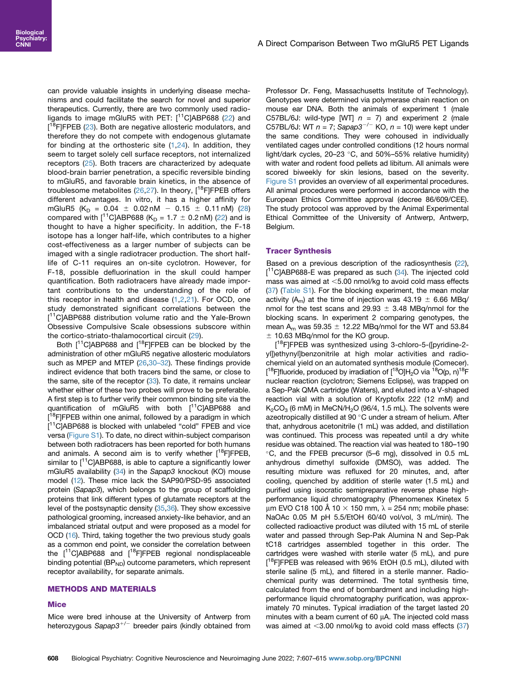can provide valuable insights in underlying disease mechanisms and could facilitate the search for novel and superior therapeutics. Currently, there are two commonly used radioligands to image mGluR5 with PET:  $[11C]$ ABP688 [\(22\)](#page-7-12) and [<sup>18</sup>F]FPEB [\(23](#page-7-13)). Both are negative allosteric modulators, and therefore they do not compete with endogenous glutamate for binding at the orthosteric site  $(1,24)$  $(1,24)$  $(1,24)$ . In addition, they seem to target solely cell surface receptors, not internalized receptors ([25](#page-8-0)). Both tracers are characterized by adequate blood-brain barrier penetration, a specific reversible binding to mGluR5, and favorable brain kinetics, in the absence of troublesome metabolites [\(26](#page-8-1)[,27](#page-8-2)). In theory,  $[$ <sup>18</sup>F]FPEB offers different advantages. In vitro, it has a higher affinity for mGluR5 (K<sub>D</sub> = 0.04  $\pm$  0.02 nM - 0.15  $\pm$  0.11 nM) ([28](#page-8-3)) compared with  $1^{11}$ C]ABP688 (K<sub>D</sub> = 1.7  $\pm$  0.2 nM) ([22\)](#page-7-12) and is thought to have a higher specificity. In addition, the F-18 isotope has a longer half-life, which contributes to a higher cost-effectiveness as a larger number of subjects can be imaged with a single radiotracer production. The short halflife of C-11 requires an on-site cyclotron. However, for F-18, possible defluorination in the skull could hamper quantification. Both radiotracers have already made important contributions to the understanding of the role of this receptor in health and disease  $(1,2,21)$  $(1,2,21)$  $(1,2,21)$  $(1,2,21)$  $(1,2,21)$ . For OCD, one study demonstrated significant correlations between the [<sup>11</sup>C]ABP688 distribution volume ratio and the Yale-Brown Obsessive Compulsive Scale obsessions subscore within the cortico-striato-thalamocortical circuit ([29](#page-8-4)).

Both  $[11]$ C]ABP688 and  $[18]$ FJFPEB can be blocked by the administration of other mGluR5 negative allosteric modulators such as MPEP and MTEP ([26](#page-8-1)[,30](#page-8-5)-32). These findings provide indirect evidence that both tracers bind the same, or close to the same, site of the receptor [\(33\)](#page-8-6). To date, it remains unclear whether either of these two probes will prove to be preferable. A first step is to further verify their common binding site via the quantification of mGluR5 with both [<sup>11</sup>C]ABP688 and [<sup>18</sup>F]FPEB within one animal, followed by a paradigm in which [<sup>11</sup>C]ABP688 is blocked with unlabeled "cold" FPEB and vice versa [\(Figure S1\)](#page-8-7). To date, no direct within-subject comparison between both radiotracers has been reported for both humans and animals. A second aim is to verify whether  $[$ <sup>18</sup>F]FPEB, similar to  $[11]$ C]ABP688, is able to capture a significantly lower mGluR5 availability ([34](#page-8-8)) in the Sapap3 knockout (KO) mouse model [\(12\)](#page-7-15). These mice lack the SAP90/PSD-95 associated protein (Sapap3), which belongs to the group of scaffolding proteins that link different types of glutamate receptors at the level of the postsynaptic density [\(35,](#page-8-9)[36](#page-8-10)). They show excessive pathological grooming, increased anxiety-like behavior, and an imbalanced striatal output and were proposed as a model for OCD [\(16](#page-7-8)). Third, taking together the two previous study goals as a common end point, we consider the correlation between the  $[$ <sup>11</sup>C]ABP688 and  $[$ <sup>18</sup>F]FPEB regional nondisplaceable binding potential ( $BP<sub>ND</sub>$ ) outcome parameters, which represent receptor availability, for separate animals.

# METHODS AND MATERIALS

#### **Mice**

Mice were bred inhouse at the University of Antwerp from heterozygous Sapap3<sup>+/-</sup> breeder pairs (kindly obtained from

Professor Dr. Feng, Massachusetts Institute of Technology). Genotypes were determined via polymerase chain reaction on mouse ear DNA. Both the animals of experiment 1 (male C57BL/6J: wild-type [WT]  $n = 7$ ) and experiment 2 (male C57BL/6J: WT  $n = 7$ ; Sapap3<sup>-/-</sup> KO,  $n = 10$ ) were kept under the same conditions. They were cohoused in individually ventilated cages under controlled conditions (12 hours normal light/dark cycles, 20-23 °C, and 50%-55% relative humidity) with water and rodent food pellets ad libitum. All animals were scored biweekly for skin lesions, based on the severity. [Figure S1](#page-8-7) provides an overview of all experimental procedures. All animal procedures were performed in accordance with the European Ethics Committee approval (decree 86/609/CEE). The study protocol was approved by the Animal Experimental Ethical Committee of the University of Antwerp, Antwerp, Belgium.

#### Tracer Synthesis

Based on a previous description of the radiosynthesis [\(22\)](#page-7-12), [<sup>11</sup>C]ABP688-E was prepared as such ([34](#page-8-8)). The injected cold mass was aimed at  $<$ 5.00 nmol/kg to avoid cold mass effects [\(37\)](#page-8-11) [\(Table S1](#page-8-7)). For the blocking experiment, the mean molar activity (A<sub>m</sub>) at the time of injection was 43.19  $\pm$  6.66 MBq/ nmol for the test scans and 29.93  $\pm$  3.48 MBq/nmol for the blocking scans. In experiment 2 comparing genotypes, the mean A<sub>m</sub> was 59.35  $\pm$  12.22 MBq/nmol for the WT and 53.84  $±$  10.63 MBq/nmol for the KO group.

[<sup>18</sup>F]FPEB was synthesized using 3-chloro-5-([pyridine-2yl])ethynyl]benzonitrile at high molar activities and radiochemical yield on an automated synthesis module (Comecer). [<sup>18</sup>F]fluoride, produced by irradiation of [<sup>18</sup>O]H<sub>2</sub>O via <sup>18</sup>O(p, n)<sup>18</sup>F nuclear reaction (cyclotron; Siemens Eclipse), was trapped on a Sep-Pak QMA cartridge (Waters), and eluted into a V-shaped reaction vial with a solution of Kryptofix 222 (12 mM) and  $K<sub>2</sub>CO<sub>3</sub>$  (6 mM) in MeCN/H<sub>2</sub>O (96/4, 1.5 mL). The solvents were azeotropically distilled at 90 °C under a stream of helium. After that, anhydrous acetonitrile (1 mL) was added, and distillation was continued. This process was repeated until a dry white residue was obtained. The reaction vial was heated to 180–190 C, and the FPEB precursor (5–6 mg), dissolved in 0.5 mL anhydrous dimethyl sulfoxide (DMSO), was added. The resulting mixture was refluxed for 20 minutes, and, after cooling, quenched by addition of sterile water (1.5 mL) and purified using isocratic semipreparative reverse phase highperformance liquid chromatography (Phenomenex Kinetex 5 µm EVO C18 100 Å 10  $\times$  150 mm,  $\lambda$  = 254 nm; mobile phase: NaOAc 0.05 M pH 5.5/EtOH 60/40 vol/vol, 3 mL/min). The collected radioactive product was diluted with 15 mL of sterile water and passed through Sep-Pak Alumina N and Sep-Pak tC18 cartridges assembled together in this order. The cartridges were washed with sterile water (5 mL), and pure [<sup>18</sup>F]FPEB was released with 96% EtOH (0.5 mL), diluted with sterile saline (5 mL), and filtered in a sterile manner. Radiochemical purity was determined. The total synthesis time, calculated from the end of bombardment and including highperformance liquid chromatography purification, was approximately 70 minutes. Typical irradiation of the target lasted 20 minutes with a beam current of 60  $\mu$ A. The injected cold mass was aimed at  $<$ 3.00 nmol/kg to avoid cold mass effects [\(37\)](#page-8-11)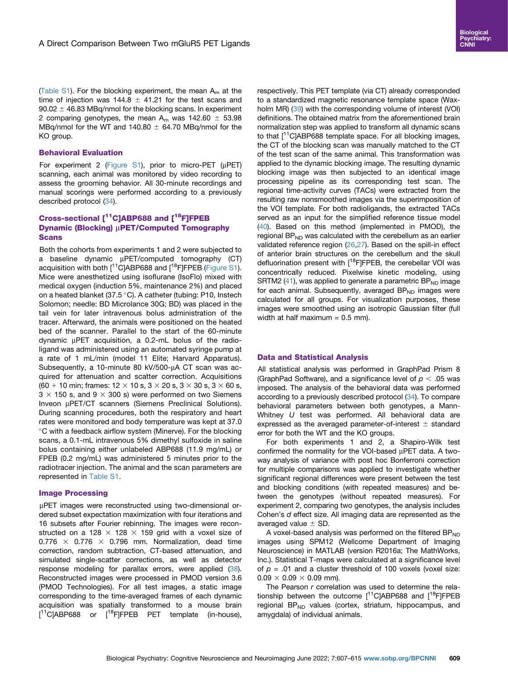([Table S1](#page-8-7)). For the blocking experiment, the mean  $A<sub>m</sub>$  at the time of injection was 144.8  $\pm$  41.21 for the test scans and  $90.02 \pm 46.83$  MBq/nmol for the blocking scans. In experiment 2 comparing genotypes, the mean  $A_m$  was 142.60  $\pm$  53.98 MBg/nmol for the WT and 140.80  $\pm$  64.70 MBg/nmol for the KO group.

### Behavioral Evaluation

For experiment 2 [\(Figure S1\)](#page-8-7), prior to micro-PET ( $\mu$ PET) scanning, each animal was monitored by video recording to assess the grooming behavior. All 30-minute recordings and manual scorings were performed according to a previously described protocol ([34](#page-8-8)).

# Cross-sectional [<sup>11</sup>C]ABP688 and [<sup>18</sup>F]FPEB Dynamic (Blocking) µPET/Computed Tomography **Scans**

Both the cohorts from experiments 1 and 2 were subjected to a baseline dynamic µPET/computed tomography (CT) acquisition with both  $[11C]$ ABP688 and  $[18F]$ FPEB [\(Figure S1\)](#page-8-7). Mice were anesthetized using isoflurane (IsoFlo) mixed with medical oxygen (induction 5%, maintenance 2%) and placed on a heated blanket (37.5 $\degree$ C). A catheter (tubing: P10, Instech Solomon; needle: BD Microlance 30G; BD) was placed in the tail vein for later intravenous bolus administration of the tracer. Afterward, the animals were positioned on the heated bed of the scanner. Parallel to the start of the 60-minute dynamic µPET acquisition, a 0.2-mL bolus of the radioligand was administered using an automated syringe pump at a rate of 1 mL/min (model 11 Elite; Harvard Apparatus). Subsequently, a 10-minute 80 kV/500- $\mu$ A CT scan was acquired for attenuation and scatter correction. Acquisitions  $(60 + 10 \text{ min}; \text{frames: } 12 \times 10 \text{ s}, 3 \times 20 \text{ s}, 3 \times 30 \text{ s}, 3 \times 60 \text{ s},$  $3 \times 150$  s, and  $9 \times 300$  s) were performed on two Siemens Inveon µPET/CT scanners (Siemens Preclinical Solutions). During scanning procedures, both the respiratory and heart rates were monitored and body temperature was kept at 37.0 C with a feedback airflow system (Minerve). For the blocking scans, a 0.1-mL intravenous 5% dimethyl sulfoxide in saline bolus containing either unlabeled ABP688 (11.9 mg/mL) or FPEB (0.2 mg/mL) was administered 5 minutes prior to the radiotracer injection. The animal and the scan parameters are represented in [Table S1](#page-8-7).

#### Image Processing

µPET images were reconstructed using two-dimensional ordered subset expectation maximization with four iterations and 16 subsets after Fourier rebinning. The images were reconstructed on a 128  $\times$  128  $\times$  159 grid with a voxel size of 0.776  $\times$  0.776  $\times$  0.796 mm. Normalization, dead time correction, random subtraction, CT-based attenuation, and simulated single-scatter corrections, as well as detector response modeling for parallax errors, were applied ([38](#page-8-12)). Reconstructed images were processed in PMOD version 3.6 (PMOD Technologies). For all test images, a static image corresponding to the time-averaged frames of each dynamic acquisition was spatially transformed to a mouse brain  $[$ <sup>11</sup>C]ABP688 or  $[$ <sup>18</sup>F]FPEB PET template (in-house),

respectively. This PET template (via CT) already corresponded to a standardized magnetic resonance template space (Waxholm MR) ([39](#page-8-13)) with the corresponding volume of interest (VOI) definitions. The obtained matrix from the aforementioned brain normalization step was applied to transform all dynamic scans to that [<sup>11</sup>C]ABP688 template space. For all blocking images, the CT of the blocking scan was manually matched to the CT of the test scan of the same animal. This transformation was applied to the dynamic blocking image. The resulting dynamic blocking image was then subjected to an identical image processing pipeline as its corresponding test scan. The regional time-activity curves (TACs) were extracted from the resulting raw nonsmoothed images via the superimposition of the VOI template. For both radioligands, the extracted TACs served as an input for the simplified reference tissue model [\(40\)](#page-8-14). Based on this method (implemented in PMOD), the regional BP $_{ND}$  was calculated with the cerebellum as an earlier validated reference region ([26](#page-8-1)[,27\)](#page-8-2). Based on the spill-in effect of anterior brain structures on the cerebellum and the skull defluorination present with  $[18F]$ FPEB, the cerebellar VOI was concentrically reduced. Pixelwise kinetic modeling, using SRTM2 ([41](#page-8-15)), was applied to generate a parametric  $BP_{ND}$  image for each animal. Subsequently, averaged  $BP_{ND}$  images were calculated for all groups. For visualization purposes, these images were smoothed using an isotropic Gaussian filter (full width at half maximum  $= 0.5$  mm).

#### Data and Statistical Analysis

All statistical analysis was performed in GraphPad Prism 8 (GraphPad Software), and a significance level of  $p < .05$  was imposed. The analysis of the behavioral data was performed according to a previously described protocol ([34\)](#page-8-8). To compare behavioral parameters between both genotypes, a Mann-Whitney U test was performed. All behavioral data are expressed as the averaged parameter-of-interest  $\pm$  standard error for both the WT and the KO groups.

For both experiments 1 and 2, a Shapiro-Wilk test confirmed the normality for the VOI-based  $\mu$ PET data. A twoway analysis of variance with post hoc Bonferroni correction for multiple comparisons was applied to investigate whether significant regional differences were present between the test and blocking conditions (with repeated measures) and between the genotypes (without repeated measures). For experiment 2, comparing two genotypes, the analysis includes Cohen's d effect size. All imaging data are represented as the averaged value  $\pm$  SD.

A voxel-based analysis was performed on the filtered  $BP_{ND}$ images using SPM12 (Wellcome Department of Imaging Neuroscience) in MATLAB (version R2016a; The MathWorks, Inc.). Statistical T-maps were calculated at a significance level of  $p = .01$  and a cluster threshold of 100 voxels (voxel size:  $0.09 \times 0.09 \times 0.09$  mm).

The Pearson  $r$  correlation was used to determine the relationship between the outcome  $[^{11}C]$ ABP688 and  $[^{18}F]$ FPEB regional  $BP_{ND}$  values (cortex, striatum, hippocampus, and amygdala) of individual animals.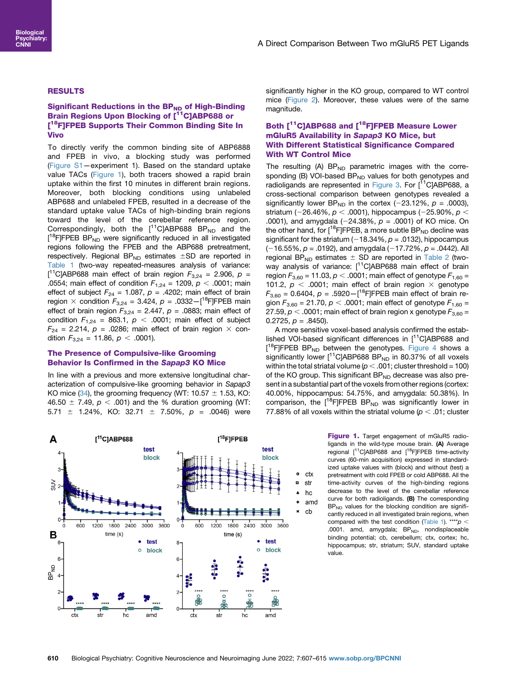# RESULTS

# Significant Reductions in the BP<sub>ND</sub> of High-Binding Brain Regions Upon Blocking of [<sup>11</sup>C]ABP688 or [<sup>18</sup>F]FPEB Supports Their Common Binding Site In Vivo

To directly verify the common binding site of ABP6888 and FPEB in vivo, a blocking study was performed ([Figure S1](#page-8-7)—experiment 1). Based on the standard uptake value TACs ([Figure 1](#page-3-0)), both tracers showed a rapid brain uptake within the first 10 minutes in different brain regions. Moreover, both blocking conditions using unlabeled ABP688 and unlabeled FPEB, resulted in a decrease of the standard uptake value TACs of high-binding brain regions toward the level of the cerebellar reference region. Correspondingly, both the  $[$ <sup>11</sup>C]ABP688 BP<sub>ND</sub> and the [<sup>18</sup>F]FPEB BP<sub>ND</sub> were significantly reduced in all investigated regions following the FPEB and the ABP688 pretreatment, respectively. Regional  $BP_{ND}$  estimates  $\pm SD$  are reported in [Table 1](#page-4-0) (two-way repeated-measures analysis of variance: [<sup>11</sup>C]ABP688 main effect of brain region  $F_{3,24} = 2.906$ ,  $p =$ .0554; main effect of condition  $F_{1,24} = 1209$ ,  $p < .0001$ ; main effect of subject  $F_{24} = 1.087$ ,  $p = .4202$ ; main effect of brain region  $\times$  condition  $F_{3,24} = 3.424$ ,  $p = .0332 - [$ <sup>18</sup>F]FPEB main effect of brain region  $F_{3,24} = 2.447$ ,  $p = .0883$ ; main effect of condition  $F_{1,24} = 863.1$ ,  $p < .0001$ ; main effect of subject  $F_{24}$  = 2.214,  $p$  = .0286; main effect of brain region  $\times$  condition  $F_{3,24} = 11.86$ ,  $p < .0001$ ).

### The Presence of Compulsive-like Grooming Behavior Is Confirmed in the Sapap3 KO Mice

In line with a previous and more extensive longitudinal characterization of compulsive-like grooming behavior in Sapap3 KO mice ([34](#page-8-8)), the grooming frequency (WT: 10.57  $\pm$  1.53, KO: 46.50  $\pm$  7.49,  $p < .001$ ) and the % duration grooming (WT: 5.71  $\pm$  1.24%, KO: 32.71  $\pm$  7.50%, p = .0046) were significantly higher in the KO group, compared to WT control mice ([Figure 2\)](#page-4-1). Moreover, these values were of the same magnitude.

# Both [<sup>11</sup>C]ABP688 and [<sup>18</sup>F]FPEB Measure Lower mGluR5 Availability in Sapap3 KO Mice, but With Different Statistical Significance Compared With WT Control Mice

The resulting  $(A)$  BP<sub>ND</sub> parametric images with the corresponding (B) VOI-based BP<sub>ND</sub> values for both genotypes and radioligands are represented in [Figure 3](#page-5-0). For [<sup>11</sup>C]ABP688, a cross-sectional comparison between genotypes revealed a significantly lower BP<sub>ND</sub> in the cortex (-23.12%,  $p = .0003$ ), striatum (-26.46%,  $p < .0001$ ), hippocampus (-25.90%,  $p <$ .0001), and amygdala  $(-24.38\%, p = .0001)$  of KO mice. On the other hand, for  $[$ <sup>18</sup>F]FPEB, a more subtle BP<sub>ND</sub> decline was significant for the striatum (-18.34%,  $p = .0132$ ), hippocampus  $(-16.55\%, p = .0192)$ , and amygdala  $(-17.72\%, p = .0442)$ . All regional BP<sub>ND</sub> estimates  $\pm$  SD are reported in [Table 2](#page-5-1) (twoway analysis of variance: [<sup>11</sup>C]ABP688 main effect of brain region  $F_{3,60}$  = 11.03,  $p < .0001$ ; main effect of genotype  $F_{1,60}$  = 101.2,  $p < .0001$ ; main effect of brain region  $\times$  genotype  $F_{3,60} = 0.6404$ ,  $p = .5920 - [^{18}F]$ FPEB main effect of brain region  $F_{3,60}$  = 21.70,  $p < .0001$ ; main effect of genotype  $F_{1,60}$  = 27.59,  $p < .0001$ ; main effect of brain region x genotype  $F_{3,60} =$ 0.2725,  $p = .8450$ ).

A more sensitive voxel-based analysis confirmed the established VOI-based significant differences in [<sup>11</sup>C]ABP688 and [<sup>18</sup>F]FPEB BP<sub>ND</sub> between the genotypes. [Figure 4](#page-6-0) shows a significantly lower  $[$ <sup>11</sup>C]ABP688 BP<sub>ND</sub> in 80.37% of all voxels within the total striatal volume ( $p < .001$ ; cluster threshold = 100) of the KO group. This significant  $BP_{ND}$  decrease was also present in a substantial part of the voxels from other regions (cortex: 40.00%, hippocampus: 54.75%, and amygdala: 50.38%). In comparison, the  $[$ <sup>18</sup>F]FPEB BP<sub>ND</sub> was significantly lower in 77.88% of all voxels within the striatal volume ( $p < .01$ ; cluster

<span id="page-3-0"></span>

Figure 1. Target engagement of mGluR5 radioligands in the wild-type mouse brain. (A) Average regional [<sup>11</sup>C]ABP688 and [<sup>18</sup>F]FPEB time-activity curves (60-min acquisition) expressed in standardized uptake values with (block) and without (test) a pretreatment with cold FPEB or cold ABP688. All the time-activity curves of the high-binding regions decrease to the level of the cerebellar reference curve for both radioligands. (B) The corresponding  $BP<sub>ND</sub>$  values for the blocking condition are significantly reduced in all investigated brain regions, when compared with the test condition ([Table 1](#page-4-0)). \*\*\*\*  $p <$ .0001. amd, amygdala;  $BP<sub>ND</sub>$ , nondisplaceable binding potential; cb, cerebellum; ctx, cortex; hc, hippocampus; str, striatum; SUV, standard uptake value.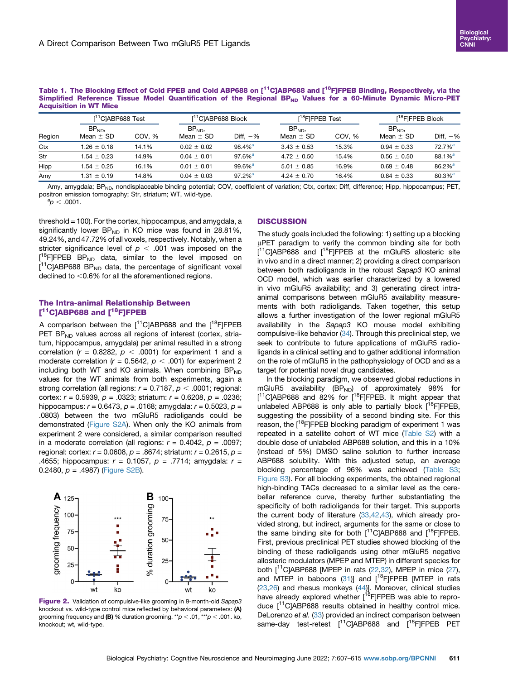<span id="page-4-0"></span>

|                               |  | Table 1. The Blocking Effect of Cold FPEB and Cold ABP688 on [ <sup>11</sup> C]ABP688 and [ <sup>18</sup> F]FPEB Binding, Respectively, via the |  |  |  |  |  |
|-------------------------------|--|-------------------------------------------------------------------------------------------------------------------------------------------------|--|--|--|--|--|
|                               |  | Simplified Reference Tissue Model Quantification of the Regional BP <sub>ND</sub> Values for a 60-Minute Dynamic Micro-PET                      |  |  |  |  |  |
| <b>Acquisition in WT Mice</b> |  |                                                                                                                                                 |  |  |  |  |  |

|        | $\lceil$ <sup>11</sup> ClABP688 Test |        | [ <sup>11</sup> C]ABP688 Block    |                       | [ <sup>18</sup> F]FPEB Test       |        | $[18]$ F]FPEB Block               |                       |  |
|--------|--------------------------------------|--------|-----------------------------------|-----------------------|-----------------------------------|--------|-----------------------------------|-----------------------|--|
| Region | BP <sub>ND</sub><br>Mean $\pm$ SD    | COV. % | BP <sub>ND</sub><br>Mean $\pm$ SD | Diff. $-$ %           | BP <sub>ND</sub><br>Mean $\pm$ SD | COV. % | BP <sub>ND</sub><br>Mean $\pm$ SD | Diff, $-$ %           |  |
| Ctx    | $1.26 \pm 0.18$                      | 14.1%  | $0.02 \pm 0.02$                   | $98.4\%$ <sup>a</sup> | $3.43 \pm 0.53$                   | 15.3%  | $0.94 \pm 0.33$                   | $72.7%$ <sup>a</sup>  |  |
| Str    | $1.54 \pm 0.23$                      | 14.9%  | $0.04 \pm 0.01$                   | $97.6\%$ <sup>a</sup> | $4.72 \pm 0.50$                   | 15.4%  | $0.56 \pm 0.50$                   | $88.1\%$ <sup>a</sup> |  |
| Hipp   | $1.54 \pm 0.25$                      | 16.1%  | $0.01 \pm 0.01$                   | $99.6\%$ <sup>a</sup> | $5.01 \pm 0.85$                   | 16.9%  | $0.69 \pm 0.48$                   | $86.2\%$ <sup>a</sup> |  |
| Amy    | $1.31 \pm 0.19$                      | 14.8%  | $0.04 \pm 0.03$                   | $97.2\%$ <sup>a</sup> | $4.24 \pm 0.70$                   | 16.4%  | $0.84 \pm 0.33$                   | $80.3\%$ <sup>a</sup> |  |

Amy, amygdala; BP<sub>ND</sub>, nondisplaceable binding potential; COV, coefficient of variation; Ctx, cortex; Diff, difference; Hipp, hippocampus; PET, positron emission tomography; Str, striatum; WT, wild-type.

<span id="page-4-2"></span> $p^a$ o  $< .0001$ .

threshold = 100). For the cortex, hippocampus, and amygdala, a significantly lower  $BP_{ND}$  in KO mice was found in 28.81%, 49.24%, and 47.72% of all voxels, respectively. Notably, when a stricter significance level of  $p < .001$  was imposed on the [<sup>18</sup>F]FPEB BP<sub>ND</sub> data, similar to the level imposed on [<sup>11</sup>C]ABP688 BP<sub>ND</sub> data, the percentage of significant voxel declined to  $<$  0.6% for all the aforementioned regions.

# The Intra-animal Relationship Between [<sup>11</sup>C]ABP688 and [<sup>18</sup>F]FPEB

A comparison between the  $[11C]$ ABP688 and the  $[18F]$ FPEB PET BP<sub>ND</sub> values across all regions of interest (cortex, striatum, hippocampus, amygdala) per animal resulted in a strong correlation ( $r = 0.8282$ ,  $p < .0001$ ) for experiment 1 and a moderate correlation ( $r = 0.5642$ ,  $p < .001$ ) for experiment 2 including both WT and KO animals. When combining  $BP_{ND}$ values for the WT animals from both experiments, again a strong correlation (all regions:  $r = 0.7187$ ,  $p < .0001$ ; regional: cortex:  $r = 0.5939$ ,  $p = 0.0323$ ; striatum:  $r = 0.6208$ ,  $p = 0.0236$ ; hippocampus:  $r = 0.6473$ ,  $p = 0.0168$ ; amygdala:  $r = 0.5023$ ,  $p =$ .0803) between the two mGluR5 radioligands could be demonstrated ([Figure S2A\)](#page-8-7). When only the KO animals from experiment 2 were considered, a similar comparison resulted in a moderate correlation (all regions:  $r = 0.4042$ ,  $p = .0097$ ; regional: cortex:  $r = 0.0608$ ,  $p = .8674$ ; striatum:  $r = 0.2615$ ,  $p =$ .4655; hippocampus:  $r = 0.1057$ ,  $p = .7714$ ; amygdala:  $r =$ 0.2480,  $p = .4987$ ) [\(Figure S2B](#page-8-7)).

<span id="page-4-1"></span>

Figure 2. Validation of compulsive-like grooming in 9-month-old Sapap3 knockout vs. wild-type control mice reflected by behavioral parameters: (A) grooming frequency and (B) % duration grooming.  $*^{p}p < .01, **^{p}p < .001$ . ko, knockout; wt, wild-type.

# **DISCUSSION**

The study goals included the following: 1) setting up a blocking µPET paradigm to verify the common binding site for both [<sup>11</sup>C]ABP688 and [<sup>18</sup>F]FPEB at the mGluR5 allosteric site in vivo and in a direct manner; 2) providing a direct comparison between both radioligands in the robust Sapap3 KO animal OCD model, which was earlier characterized by a lowered in vivo mGluR5 availability; and 3) generating direct intraanimal comparisons between mGluR5 availability measurements with both radioligands. Taken together, this setup allows a further investigation of the lower regional mGluR5 availability in the Sapap3 KO mouse model exhibiting compulsive-like behavior ([34\)](#page-8-8). Through this preclinical step, we seek to contribute to future applications of mGluR5 radioligands in a clinical setting and to gather additional information on the role of mGluR5 in the pathophysiology of OCD and as a target for potential novel drug candidates.

In the blocking paradigm, we observed global reductions in mGluR5 availability (BP $_{\rm ND}$ ) of approximately 98% for  $[$ <sup>11</sup>C]ABP688 and 82% for  $[$ <sup>18</sup>F]FPEB. It might appear that unlabeled ABP688 is only able to partially block  $[18F]$ FPEB, suggesting the possibility of a second binding site. For this reason, the  $[18F]$ FPEB blocking paradigm of experiment 1 was repeated in a satellite cohort of WT mice [\(Table S2\)](#page-8-7) with a double dose of unlabeled ABP688 solution, and this in a 10% (instead of 5%) DMSO saline solution to further increase ABP688 solubility. With this adjusted setup, an average blocking percentage of 96% was achieved ([Table S3;](#page-8-7) [Figure S3\)](#page-8-7). For all blocking experiments, the obtained regional high-binding TACs decreased to a similar level as the cerebellar reference curve, thereby further substantiating the specificity of both radioligands for their target. This supports the current body of literature ([33](#page-8-6)[,42,](#page-8-16)[43](#page-8-17)), which already provided strong, but indirect, arguments for the same or close to the same binding site for both  $[11C]$ ABP688 and  $[18F]$ FPEB. First, previous preclinical PET studies showed blocking of the binding of these radioligands using other mGluR5 negative allosteric modulators (MPEP and MTEP) in different species for both  $[^{11}C]$ ABP688 [MPEP in rats [\(22](#page-7-12),[32](#page-8-18)), MPEP in mice [\(27\)](#page-8-2), and MTEP in baboons ([31](#page-8-19))] and  $[^{18}$ FJFPEB [MTEP in rats [\(23,](#page-7-13)[26\)](#page-8-1) and rhesus monkeys [\(44](#page-8-20))]. Moreover, clinical studies have already explored whether [<sup>18</sup>F]FPEB was able to reproduce  $[1]$ <sup>1</sup>C]ABP688 results obtained in healthy control mice. DeLorenzo et al. [\(33\)](#page-8-6) provided an indirect comparison between same-day test-retest [<sup>11</sup>C]ABP688 and <sup>[18</sup>F]FPEB PET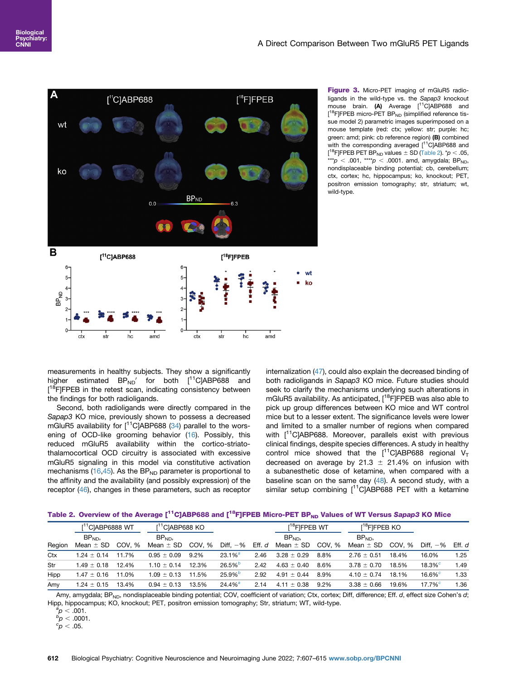<span id="page-5-0"></span>

Figure 3. Micro-PET imaging of mGluR5 radioligands in the wild-type vs. the Sapap3 knockout mouse brain. (A) Average [<sup>11</sup>C]ABP688 and [<sup>18</sup>F]FPEB micro-PET BP<sub>ND</sub> (simplified reference tissue model 2) parametric images superimposed on a mouse template (red: ctx; yellow: str; purple: hc; green: amd; pink: cb reference region) (B) combined with the corresponding averaged  $[11]$ CJABP688 and [<sup>18</sup>F]FPEB PET BP<sub>ND</sub> values  $\pm$  SD ([Table 2](#page-5-1)).  $^{\star}p$   $<$  .05, \*\*\*p < .001, \*\*\*\*p < .0001. amd, amygdala; BP<sub>ND</sub>, nondisplaceable binding potential; cb, cerebellum; ctx, cortex; hc, hippocampus; ko, knockout; PET, positron emission tomography; str, striatum; wt, wild-type.

measurements in healthy subjects. They show a significantly higher estimated  $BP_{ND}$  for both  $[^{11}C]ABP688$  and [<sup>18</sup>F]FPEB in the retest scan, indicating consistency between the findings for both radioligands.

Second, both radioligands were directly compared in the Sapap3 KO mice, previously shown to possess a decreased mGluR5 availability for  $[^{11}C]$ ABP688 ([34](#page-8-8)) parallel to the worsening of OCD-like grooming behavior ([16](#page-7-8)). Possibly, this reduced mGluR5 availability within the cortico-striatothalamocortical OCD circuitry is associated with excessive mGluR5 signaling in this model via constitutive activation mechanisms ([16](#page-7-8)[,45\)](#page-8-21). As the BP<sub>ND</sub> parameter is proportional to the affinity and the availability (and possibly expression) of the receptor [\(46\)](#page-8-22), changes in these parameters, such as receptor internalization [\(47\)](#page-8-23), could also explain the decreased binding of both radioligands in Sapap3 KO mice. Future studies should seek to clarify the mechanisms underlying such alterations in mGluR5 availability. As anticipated, [<sup>18</sup>F]FPEB was also able to pick up group differences between KO mice and WT control mice but to a lesser extent. The significance levels were lower and limited to a smaller number of regions when compared with [<sup>11</sup>C]ABP688. Moreover, parallels exist with previous clinical findings, despite species differences. A study in healthy control mice showed that the  $[^{11}C]$ ABP688 regional V<sub>T</sub> decreased on average by 21.3  $\pm$  21.4% on infusion with a subanesthetic dose of ketamine, when compared with a baseline scan on the same day  $(48)$  $(48)$ . A second study, with a similar setup combining  $[$ <sup>11</sup>C]ABP688 PET with a ketamine

<span id="page-5-1"></span>

| Table 2.  Overview of the Average [ <sup>11</sup> C]ABP688 and [ <sup>18</sup> F]FPEB Micro-PET BP <sub>ND</sub> Values of WT Versus S <i>apap3</i> KO Mice |  |  |  |  |
|-------------------------------------------------------------------------------------------------------------------------------------------------------------|--|--|--|--|
|-------------------------------------------------------------------------------------------------------------------------------------------------------------|--|--|--|--|

|        | $\lceil$ <sup>1</sup> C <sub>l</sub> ABP6888 WT |        | [ <sup>11</sup> C]ABP688 KO       |         |                       |        | $[18$ F]FPEB WT                   |        | [ <sup>18</sup> F]FPEB KO         |        |                                    |        |
|--------|-------------------------------------------------|--------|-----------------------------------|---------|-----------------------|--------|-----------------------------------|--------|-----------------------------------|--------|------------------------------------|--------|
| Region | BP <sub>ND</sub><br>Mean $\pm$ SD               | COV. % | BP <sub>ND</sub><br>Mean $\pm$ SD | COV. %  | Diff. $-$ %           | Eff. d | BP <sub>ND</sub><br>Mean $\pm$ SD | COV. % | BP <sub>ND</sub><br>Mean $\pm$ SD | COV. % | Diff. $-$ %                        | Eff. d |
| Ctx    | $1.24 \pm 0.14$                                 | 11.7%  | $0.95 \pm 0.09$                   | $9.2\%$ | $23.1\%$ <sup>a</sup> | 2.46   | $3.28 \pm 0.29$                   | 8.8%   | $2.76 \pm 0.51$                   | 18.4%  | 16.0%                              | 1.25   |
| Str    | $1.49 \pm 0.18$                                 | 12.4%  | $1.10 \pm 0.14$                   | 12.3%   | 26.5%                 | 2.42   | $4.63 \pm 0.40$                   | 8.6%   | $3.78 \pm 0.70$                   | 18.5%  | $18.3%^{c}$                        | 1.49   |
| Hipp   | $1.47 \pm 0.16$                                 | 11.0%  | $1.09 \pm 0.13$                   | 11.5%   | $25.9%^{b}$           | 2.92   | $4.91 \pm 0.44$                   | 8.9%   | $4.10 \pm 0.74$                   | 18.1%  | $16.6\%$ <sup><math>c</math></sup> | 1.33   |
| Amv    | $1.24 \pm 0.15$                                 | 13.4%  | $0.94 \pm 0.13$                   | 13.5%   | $24.4\%$ <sup>a</sup> | 2.14   | ± 0.38<br>4.11                    | 9.2%   | $3.38 \pm 0.66$                   | 19.6%  | $17.7\%$ <sup>c</sup>              | 1.36   |

Amy, amygdala; BP<sub>ND</sub>, nondisplaceable binding potential; COV, coefficient of variation; Ctx, cortex; Diff, difference; Eff. d, effect size Cohen's d; Hipp, hippocampus; KO, knockout; PET, positron emission tomography; Str, striatum; WT, wild-type.

<span id="page-5-3"></span><span id="page-5-2"></span> ${}^{a}_{p}p < .001.$ 

 $_{\circ}^{\circ}p < .0001.$ 

<span id="page-5-4"></span> ${}^{c}p$  < .05.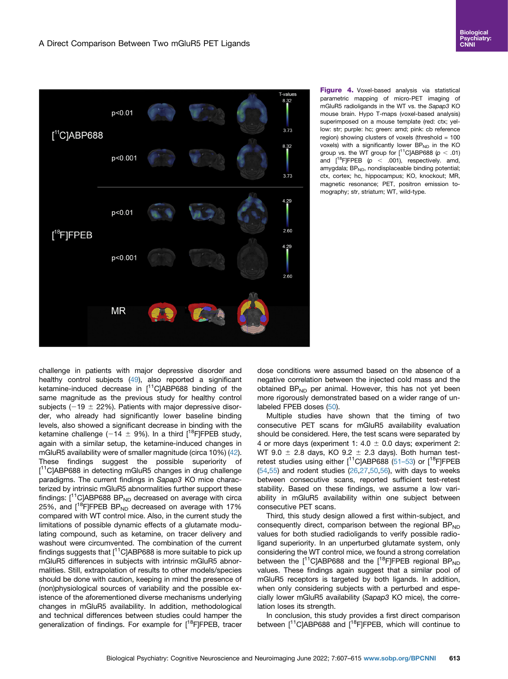<span id="page-6-0"></span>

Figure 4. Voxel-based analysis via statistical parametric mapping of micro-PET imaging of mGluR5 radioligands in the WT vs. the Sapap3 KO mouse brain. Hypo T-maps (voxel-based analysis) superimposed on a mouse template (red: ctx; yellow: str; purple: hc; green: amd; pink: cb reference region) showing clusters of voxels (threshold = 100 voxels) with a significantly lower  $BP_{ND}$  in the KO group vs. the WT group for  $[^{11}C]$ ABP688 ( $p < .01$ ) and  $[$ <sup>18</sup>F]FPEB ( $p$  < .001), respectively. amd, amygdala;  $BP<sub>ND</sub>$ , nondisplaceable binding potential; ctx, cortex; hc, hippocampus; KO, knockout; MR, magnetic resonance; PET, positron emission tomography; str, striatum; WT, wild-type.

challenge in patients with major depressive disorder and healthy control subjects [\(49\)](#page-8-25), also reported a significant ketamine-induced decrease in  $[11]$ C]ABP688 binding of the same magnitude as the previous study for healthy control subjects ( $-19 \pm 22\%$ ). Patients with major depressive disorder, who already had significantly lower baseline binding levels, also showed a significant decrease in binding with the ketamine challenge (-14  $\pm$  9%). In a third [<sup>18</sup>F]FPEB study, again with a similar setup, the ketamine-induced changes in mGluR5 availability were of smaller magnitude (circa 10%) ([42](#page-8-16)). These findings suggest the possible superiority of [<sup>11</sup>C]ABP688 in detecting mGluR5 changes in drug challenge paradigms. The current findings in Sapap3 KO mice characterized by intrinsic mGluR5 abnormalities further support these findings:  $[$ <sup>11</sup>C]ABP688 BP<sub>ND</sub> decreased on average with circa 25%, and  $[$ <sup>18</sup>F]FPEB BP<sub>ND</sub> decreased on average with 17% compared with WT control mice. Also, in the current study the limitations of possible dynamic effects of a glutamate modulating compound, such as ketamine, on tracer delivery and washout were circumvented. The combination of the current findings suggests that  $[{}^{11}C]$ ABP688 is more suitable to pick up mGluR5 differences in subjects with intrinsic mGluR5 abnormalities. Still, extrapolation of results to other models/species should be done with caution, keeping in mind the presence of (non)physiological sources of variability and the possible existence of the aforementioned diverse mechanisms underlying changes in mGluR5 availability. In addition, methodological and technical differences between studies could hamper the generalization of findings. For example for [<sup>18</sup>F]FPEB, tracer dose conditions were assumed based on the absence of a negative correlation between the injected cold mass and the obtained  $BP_{ND}$  per animal. However, this has not yet been more rigorously demonstrated based on a wider range of unlabeled FPEB doses ([50](#page-8-26)).

Multiple studies have shown that the timing of two consecutive PET scans for mGluR5 availability evaluation should be considered. Here, the test scans were separated by 4 or more days (experiment 1: 4.0  $\pm$  0.0 days; experiment 2: WT 9.0  $\pm$  2.8 days, KO 9.2  $\pm$  2.3 days). Both human testretest studies using either  $[^{11}C]$ ABP688 [\(51](#page-8-27)–53) or  $[^{18}F]$ FPEB  $(54,55)$  $(54,55)$  and rodent studies  $(26,27,50,56)$  $(26,27,50,56)$  $(26,27,50,56)$  $(26,27,50,56)$  $(26,27,50,56)$  $(26,27,50,56)$  $(26,27,50,56)$ , with days to weeks between consecutive scans, reported sufficient test-retest stability. Based on these findings, we assume a low variability in mGluR5 availability within one subject between consecutive PET scans.

Third, this study design allowed a first within-subject, and consequently direct, comparison between the regional  $BP_{ND}$ values for both studied radioligands to verify possible radioligand superiority. In an unperturbed glutamate system, only considering the WT control mice, we found a strong correlation between the  $[$ <sup>11</sup>C]ABP688 and the  $[$ <sup>18</sup>F]FPEB regional BP<sub>ND</sub> values. These findings again suggest that a similar pool of mGluR5 receptors is targeted by both ligands. In addition, when only considering subjects with a perturbed and especially lower mGluR5 availability (Sapap3 KO mice), the correlation loses its strength.

In conclusion, this study provides a first direct comparison between  $[$ <sup>11</sup>C]ABP688 and  $[$ <sup>18</sup>F]FPEB, which will continue to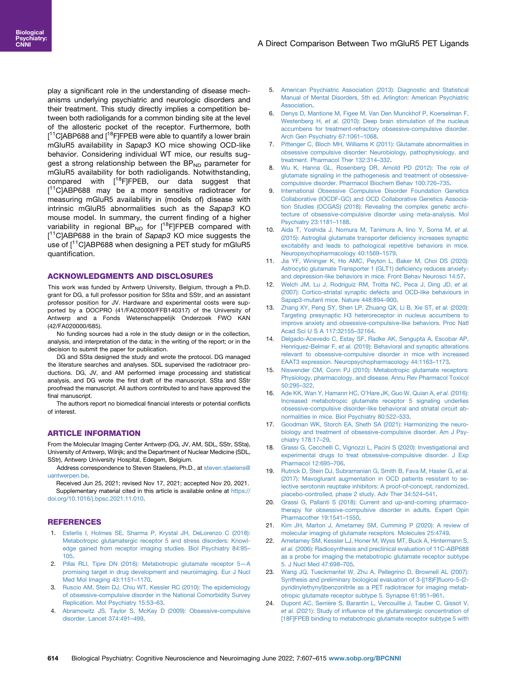play a significant role in the understanding of disease mechanisms underlying psychiatric and neurologic disorders and their treatment. This study directly implies a competition between both radioligands for a common binding site at the level of the allosteric pocket of the receptor. Furthermore, both [<sup>11</sup>C]ABP688 and [<sup>18</sup>F]FPEB were able to quantify a lower brain mGluR5 availability in Sapap3 KO mice showing OCD-like behavior. Considering individual WT mice, our results suggest a strong relationship between the  $BP_{ND}$  parameter for mGluR5 availability for both radioligands. Notwithstanding, compared with  $[$ <sup>18</sup>F]FPEB, our data suggest that [<sup>11</sup>C]ABP688 may be a more sensitive radiotracer for measuring mGluR5 availability in (models of) disease with intrinsic mGluR5 abnormalities such as the Sapap3 KO mouse model. In summary, the current finding of a higher variability in regional  $BP_{ND}$  for  $[$ <sup>18</sup>F]FPEB compared with [<sup>11</sup>C]ABP688 in the brain of Sapap3 KO mice suggests the use of  $[11]$ C]ABP688 when designing a PET study for mGluR5 quantification.

### ACKNOWLEDGMENTS AND DISCLOSURES

This work was funded by Antwerp University, Belgium, through a Ph.D. grant for DG, a full professor position for SSta and SStr, and an assistant professor position for JV. Hardware and experimental costs were supported by a DOCPRO (41/FA020000/FFB140317) of the University of Antwerp and a Fonds Wetenschappelijk Onderzoek FWO KAN (42/FA020000/685).

No funding sources had a role in the study design or in the collection, analysis, and interpretation of the data; in the writing of the report; or in the decision to submit the paper for publication.

DG and SSta designed the study and wrote the protocol. DG managed the literature searches and analyses. SDL supervised the radiotracer productions. DG, JV, and AM performed image processing and statistical analysis, and DG wrote the first draft of the manuscript. SSta and SStr proofread the manuscript. All authors contributed to and have approved the final manuscript.

The authors report no biomedical financial interests or potential conflicts of interest.

#### ARTICLE INFORMATION

From the Molecular Imaging Center Antwerp (DG, JV, AM, SDL, SStr, SSta), University of Antwerp, Wilrijk; and the Department of Nuclear Medicine (SDL, SStr), Antwerp University Hospital, Edegem, Belgium.

Address correspondence to Steven Staelens, Ph.D., at [steven.staelens@](mailto:steven.staelens@uantwerpen.be) [uantwerpen.be.](mailto:steven.staelens@uantwerpen.be)

Received Jun 25, 2021; revised Nov 17, 2021; accepted Nov 20, 2021. Supplementary material cited in this article is available online at [https://](https://doi.org/10.1016/j.bpsc.2021.11.010) [doi.org/10.1016/j.bpsc.2021.11.010](https://doi.org/10.1016/j.bpsc.2021.11.010).

### <span id="page-7-0"></span>**REFERENCES**

- 1. [Esterlis I, Holmes SE, Sharma P, Krystal JH, DeLorenzo C \(2018\):](http://refhub.elsevier.com/S2451-9022(21)00323-2/sref1) [Metabotropic glutamatergic receptor 5 and stress disorders: Knowl](http://refhub.elsevier.com/S2451-9022(21)00323-2/sref1)[edge gained from receptor imaging studies. Biol Psychiatry 84:95](http://refhub.elsevier.com/S2451-9022(21)00323-2/sref1)– [105.](http://refhub.elsevier.com/S2451-9022(21)00323-2/sref1)
- <span id="page-7-1"></span>2. [Pillai RLI, Tipre DN \(2016\): Metabotropic glutamate receptor 5](http://refhub.elsevier.com/S2451-9022(21)00323-2/sref2)—A [promising target in drug development and neuroimaging. Eur J Nucl](http://refhub.elsevier.com/S2451-9022(21)00323-2/sref2) [Med Mol Imaging 43:1151](http://refhub.elsevier.com/S2451-9022(21)00323-2/sref2)–1170.
- <span id="page-7-2"></span>3. [Ruscio AM, Stein DJ, Chiu WT, Kessler RC \(2010\): The epidemiology](http://refhub.elsevier.com/S2451-9022(21)00323-2/sref3) [of obsessive-compulsive disorder in the National Comorbidity Survey](http://refhub.elsevier.com/S2451-9022(21)00323-2/sref3) [Replication. Mol Psychiatry 15:53](http://refhub.elsevier.com/S2451-9022(21)00323-2/sref3)–63.
- <span id="page-7-3"></span>4. [Abramowitz JS, Taylor S, McKay D \(2009\): Obsessive-compulsive](http://refhub.elsevier.com/S2451-9022(21)00323-2/sref4) [disorder. Lancet 374:491](http://refhub.elsevier.com/S2451-9022(21)00323-2/sref4)–499.
- <span id="page-7-4"></span>5. [American Psychiatric Association \(2013\): Diagnostic and Statistical](http://refhub.elsevier.com/S2451-9022(21)00323-2/sref5) [Manual of Mental Disorders, 5th ed. Arlington: American Psychiatric](http://refhub.elsevier.com/S2451-9022(21)00323-2/sref5) [Association.](http://refhub.elsevier.com/S2451-9022(21)00323-2/sref5)
- <span id="page-7-5"></span>6. [Denys D, Mantione M, Figee M, Van Den Munckhof P, Koerselman F,](http://refhub.elsevier.com/S2451-9022(21)00323-2/sref6) Westenberg H, et al. [\(2010\): Deep brain stimulation of the nucleus](http://refhub.elsevier.com/S2451-9022(21)00323-2/sref6) [accumbens for treatment-refractory obsessive-compulsive disorder.](http://refhub.elsevier.com/S2451-9022(21)00323-2/sref6) [Arch Gen Psychiatry 67:1061](http://refhub.elsevier.com/S2451-9022(21)00323-2/sref6)–1068.
- <span id="page-7-6"></span>7. [Pittenger C, Bloch MH, Williams K \(2011\): Glutamate abnormalities in](http://refhub.elsevier.com/S2451-9022(21)00323-2/sref7) [obsessive compulsive disorder: Neurobiology, pathophysiology, and](http://refhub.elsevier.com/S2451-9022(21)00323-2/sref7) [treatment. Pharmacol Ther 132:314](http://refhub.elsevier.com/S2451-9022(21)00323-2/sref7)–332.
- 8. [Wu K, Hanna GL, Rosenberg DR, Arnold PD \(2012\): The role of](http://refhub.elsevier.com/S2451-9022(21)00323-2/sref8) [glutamate signaling in the pathogenesis and treatment of obsessive](http://refhub.elsevier.com/S2451-9022(21)00323-2/sref8)[compulsive disorder. Pharmacol Biochem Behav 100:726](http://refhub.elsevier.com/S2451-9022(21)00323-2/sref8)–735.
- 9. [International Obsessive Compulsive Disorder Foundation Genetics](http://refhub.elsevier.com/S2451-9022(21)00323-2/sref9) [Collaborative \(IOCDF-GC\) and OCD Collaborative Genetics Associa](http://refhub.elsevier.com/S2451-9022(21)00323-2/sref9)[tion Studies \(OCGAS\) \(2018\): Revealing the complex genetic archi](http://refhub.elsevier.com/S2451-9022(21)00323-2/sref9)[tecture of obsessive-compulsive disorder using meta-analysis. Mol](http://refhub.elsevier.com/S2451-9022(21)00323-2/sref9) [Psychiatry 23:1181](http://refhub.elsevier.com/S2451-9022(21)00323-2/sref9)–1188.
- 10. [Aida T, Yoshida J, Nomura M, Tanimura A, Iino Y, Soma M,](http://refhub.elsevier.com/S2451-9022(21)00323-2/sref10) et al. [\(2015\): Astroglial glutamate transporter de](http://refhub.elsevier.com/S2451-9022(21)00323-2/sref10)ficiency increases synaptic [excitability and leads to pathological repetitive behaviors in mice.](http://refhub.elsevier.com/S2451-9022(21)00323-2/sref10) [Neuropsychopharmacology 40:1569](http://refhub.elsevier.com/S2451-9022(21)00323-2/sref10)–1579.
- 11. [Jia YF, Wininger K, Ho AMC, Peyton L, Baker M, Choi DS \(2020\):](http://refhub.elsevier.com/S2451-9022(21)00323-2/sref11) [Astrocytic glutamate Transporter 1 \(GLT1\) de](http://refhub.elsevier.com/S2451-9022(21)00323-2/sref11)ficiency reduces anxiety[and depression-like behaviors in mice. Front Behav Neurosci 14:57](http://refhub.elsevier.com/S2451-9022(21)00323-2/sref11).
- <span id="page-7-15"></span>12. [Welch JM, Lu J, Rodriguiz RM, Trotta NC, Peca J, Ding JD,](http://refhub.elsevier.com/S2451-9022(21)00323-2/sref12) et al. [\(2007\): Cortico-striatal synaptic defects and OCD-like behaviours in](http://refhub.elsevier.com/S2451-9022(21)00323-2/sref12) [Sapap3-mutant mice. Nature 448:894](http://refhub.elsevier.com/S2451-9022(21)00323-2/sref12)–900.
- 13. [Zhang XY, Peng SY, Shen LP, Zhuang QX, Li B, Xie ST,](http://refhub.elsevier.com/S2451-9022(21)00323-2/sref13) et al. (2020): [Targeting presynaptic H3 heteroreceptor in nucleus accumbens to](http://refhub.elsevier.com/S2451-9022(21)00323-2/sref13) [improve anxiety and obsessive-compulsive-like behaviors. Proc Natl](http://refhub.elsevier.com/S2451-9022(21)00323-2/sref13) [Acad Sci U S A 117:32155](http://refhub.elsevier.com/S2451-9022(21)00323-2/sref13)–32164.
- 14. [Delgado-Acevedo C, Estay SF, Radke AK, Sengupta A, Escobar AP,](http://refhub.elsevier.com/S2451-9022(21)00323-2/sref14) Henríquez-Belmar F, et al. [\(2019\): Behavioral and synaptic alterations](http://refhub.elsevier.com/S2451-9022(21)00323-2/sref14) [relevant to obsessive-compulsive disorder in mice with increased](http://refhub.elsevier.com/S2451-9022(21)00323-2/sref14) [EAAT3 expression. Neuropsychopharmacology 44:1163](http://refhub.elsevier.com/S2451-9022(21)00323-2/sref14)–1173.
- <span id="page-7-7"></span>15. [Niswender CM, Conn PJ \(2010\): Metabotropic glutamate receptors:](http://refhub.elsevier.com/S2451-9022(21)00323-2/sref15) [Physiology, pharmacology, and disease. Annu Rev Pharmacol Toxicol](http://refhub.elsevier.com/S2451-9022(21)00323-2/sref15) [50:295](http://refhub.elsevier.com/S2451-9022(21)00323-2/sref15)–322.
- <span id="page-7-8"></span>16. [Ade KK, Wan Y, Hamann HC, O](http://refhub.elsevier.com/S2451-9022(21)00323-2/sref16)'Hare JK, Guo W, Quian A, et al. (2016): [Increased metabotropic glutamate receptor 5 signaling underlies](http://refhub.elsevier.com/S2451-9022(21)00323-2/sref16) [obsessive-compulsive disorder-like behavioral and striatal circuit ab](http://refhub.elsevier.com/S2451-9022(21)00323-2/sref16)[normalities in mice. Biol Psychiatry 80:522](http://refhub.elsevier.com/S2451-9022(21)00323-2/sref16)–533.
- <span id="page-7-9"></span>17. [Goodman WK, Storch EA, Sheth SA \(2021\): Harmonizing the neuro](http://refhub.elsevier.com/S2451-9022(21)00323-2/sref17)[biology and treatment of obsessive-compulsive disorder. Am J Psy](http://refhub.elsevier.com/S2451-9022(21)00323-2/sref17)[chiatry 178:17](http://refhub.elsevier.com/S2451-9022(21)00323-2/sref17)–29.
- 18. [Grassi G, Cecchelli C, Vignozzi L, Pacini S \(2020\): Investigational and](http://refhub.elsevier.com/S2451-9022(21)00323-2/sref18) [experimental drugs to treat obsessive-compulsive disorder. J Exp](http://refhub.elsevier.com/S2451-9022(21)00323-2/sref18) [Pharmacol 12:695](http://refhub.elsevier.com/S2451-9022(21)00323-2/sref18)–706.
- 19. [Rutrick D, Stein DJ, Subramanian G, Smith B, Fava M, Hasler G,](http://refhub.elsevier.com/S2451-9022(21)00323-2/sref19) et al. [\(2017\): Mavoglurant augmentation in OCD patients resistant to se](http://refhub.elsevier.com/S2451-9022(21)00323-2/sref19)[lective serotonin reuptake inhibitors: A proof-of-concept, randomized,](http://refhub.elsevier.com/S2451-9022(21)00323-2/sref19) [placebo-controlled, phase 2 study. Adv Ther 34:524](http://refhub.elsevier.com/S2451-9022(21)00323-2/sref19)–541.
- <span id="page-7-10"></span>20. [Grassi G, Pallanti S \(2018\): Current and up-and-coming pharmaco](http://refhub.elsevier.com/S2451-9022(21)00323-2/sref20)[therapy for obsessive-compulsive disorder in adults. Expert Opin](http://refhub.elsevier.com/S2451-9022(21)00323-2/sref20) [Pharmacother 19:1541](http://refhub.elsevier.com/S2451-9022(21)00323-2/sref20)–1550.
- <span id="page-7-11"></span>21. [Kim JH, Marton J, Ametamey SM, Cumming P \(2020\): A review of](http://refhub.elsevier.com/S2451-9022(21)00323-2/sref21) [molecular imaging of glutamate receptors. Molecules 25:4749](http://refhub.elsevier.com/S2451-9022(21)00323-2/sref21).
- <span id="page-7-12"></span>22. [Ametamey SM, Kessler LJ, Honer M, Wyss MT, Buck A, Hintermann S,](http://refhub.elsevier.com/S2451-9022(21)00323-2/sref22) et al. [\(2006\): Radiosynthesis and preclinical evaluation of 11C-ABP688](http://refhub.elsevier.com/S2451-9022(21)00323-2/sref22) [as a probe for imaging the metabotropic glutamate receptor subtype](http://refhub.elsevier.com/S2451-9022(21)00323-2/sref22) [5. J Nucl Med 47:698](http://refhub.elsevier.com/S2451-9022(21)00323-2/sref22)–705.
- <span id="page-7-13"></span>23. [Wang JQ, Tueckmantel W, Zhu A, Pellegrino D, Brownell AL \(2007\):](http://refhub.elsevier.com/S2451-9022(21)00323-2/sref23) [Synthesis and preliminary biological evaluation of 3-\[\(18\)F\]](http://refhub.elsevier.com/S2451-9022(21)00323-2/sref23)fluoro-5-(2 [pyridinylethynyl\)benzonitrile as a PET radiotracer for imaging metab](http://refhub.elsevier.com/S2451-9022(21)00323-2/sref23)[otropic glutamate receptor subtype 5. Synapse 61:951](http://refhub.elsevier.com/S2451-9022(21)00323-2/sref23)–961.
- <span id="page-7-14"></span>24. [Dupont AC, Serrière S, Barantin L, Vercouillie J, Tauber C, Gissot V,](http://refhub.elsevier.com/S2451-9022(21)00323-2/sref24) et al. (2021): Study of infl[uence of the glutamatergic concentration of](http://refhub.elsevier.com/S2451-9022(21)00323-2/sref24) [\[18F\]FPEB binding to metabotropic glutamate receptor subtype 5 with](http://refhub.elsevier.com/S2451-9022(21)00323-2/sref24)